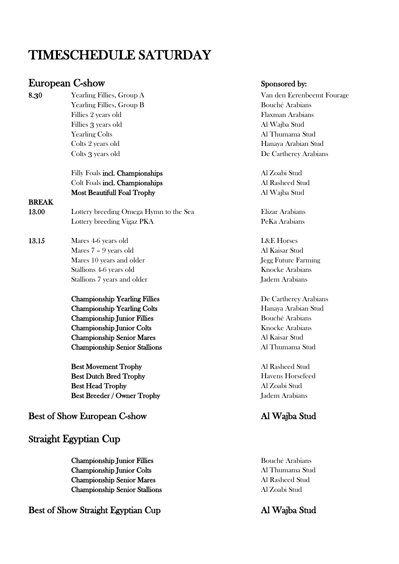# TIMESCHEDULE SATURDAY

## European C-show Sponsored by:

8.**3**0 Yearling Fillies, Group A Van den Eerenbeemt Fourage Yearling Fillies, Group B Bouché Arabians Fillies 2 years old Flaxman Arabians Fillies 3 years old Al Wajba Stud Yearling Colts Al Thumama Stud Colts 2 years old Hanaya Arabian Stud Colts 3 years old De Cartherey Arabians

#### Filly Foals incl. Championships Al Zoabi Stud Colt Foals incl. Championships Al Rasheed Stud Most Beautifull Foal Trophy Al Wajba Stud

#### BREAK

- 13.00 Lottery breeding Omega Hymn to the Sea Elizar Arabians Lottery breeding Vigaz PKA PeKa Arabians
- 13.15 Mares 4-6 years old L&E Horses Mares 7 – 9 years old Al Kaisar Stud Mares 10 years and older Jegg Future Farming Stallions 4-6 years old Knocke Arabians Stallions 7 years and older Jadem Arabians
	- Championship Yearling Fillies De Cartherey Arabians Championship Yearling Colts **Hanaya Arabian Stud** Championship Junior Fillies Bouché Arabians Championship Junior Colts Knocke Arabians Championship Senior Mares Al Kaisar Stud Championship Senior Stallions Al Thumama Stud

Best Movement Trophy Al Rasheed Stud Best Dutch Bred Trophy Havens Horsefeed Best Head Trophy Al Zoabi Stud Best Breeder / Owner Trophy Jadem Arabians

### Best of Show European C-show Al Wajba Stud

### Straight Egyptian Cup

Championship Junior Fillies Bouché Arabians Championship Junior Colts Al Thumama Stud Championship Senior Mares Al Rasheed Stud Championship Senior Stallions Al Zoabi Stud

### Best of Show Straight Egyptian Cup Al Wajba Stud